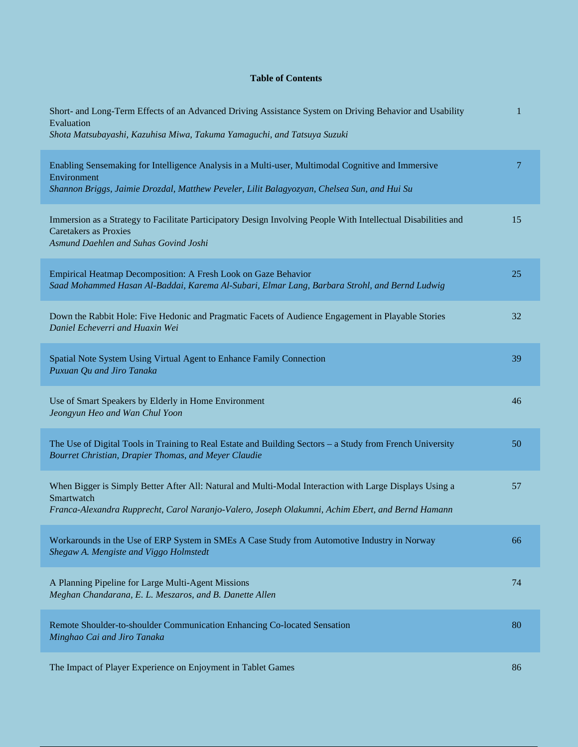## **Table of Contents**

| Short- and Long-Term Effects of an Advanced Driving Assistance System on Driving Behavior and Usability<br>Evaluation<br>Shota Matsubayashi, Kazuhisa Miwa, Takuma Yamaguchi, and Tatsuya Suzuki                          | 1      |
|---------------------------------------------------------------------------------------------------------------------------------------------------------------------------------------------------------------------------|--------|
| Enabling Sensemaking for Intelligence Analysis in a Multi-user, Multimodal Cognitive and Immersive<br>Environment<br>Shannon Briggs, Jaimie Drozdal, Matthew Peveler, Lilit Balagyozyan, Chelsea Sun, and Hui Su          | $\tau$ |
| Immersion as a Strategy to Facilitate Participatory Design Involving People With Intellectual Disabilities and<br><b>Caretakers as Proxies</b><br>Asmund Daehlen and Suhas Govind Joshi                                   | 15     |
| Empirical Heatmap Decomposition: A Fresh Look on Gaze Behavior<br>Saad Mohammed Hasan Al-Baddai, Karema Al-Subari, Elmar Lang, Barbara Strohl, and Bernd Ludwig                                                           | 25     |
| Down the Rabbit Hole: Five Hedonic and Pragmatic Facets of Audience Engagement in Playable Stories<br>Daniel Echeverri and Huaxin Wei                                                                                     | 32     |
| Spatial Note System Using Virtual Agent to Enhance Family Connection<br>Puxuan Qu and Jiro Tanaka                                                                                                                         | 39     |
| Use of Smart Speakers by Elderly in Home Environment<br>Jeongyun Heo and Wan Chul Yoon                                                                                                                                    | 46     |
| The Use of Digital Tools in Training to Real Estate and Building Sectors – a Study from French University<br>Bourret Christian, Drapier Thomas, and Meyer Claudie                                                         | 50     |
| When Bigger is Simply Better After All: Natural and Multi-Modal Interaction with Large Displays Using a<br>Smartwatch<br>Franca-Alexandra Rupprecht, Carol Naranjo-Valero, Joseph Olakumni, Achim Ebert, and Bernd Hamann | 57     |
| Workarounds in the Use of ERP System in SMEs A Case Study from Automotive Industry in Norway<br>Shegaw A. Mengiste and Viggo Holmstedt                                                                                    | 66     |
| A Planning Pipeline for Large Multi-Agent Missions<br>Meghan Chandarana, E. L. Meszaros, and B. Danette Allen                                                                                                             | 74     |
| Remote Shoulder-to-shoulder Communication Enhancing Co-located Sensation<br>Minghao Cai and Jiro Tanaka                                                                                                                   | 80     |
| The Impact of Player Experience on Enjoyment in Tablet Games                                                                                                                                                              | 86     |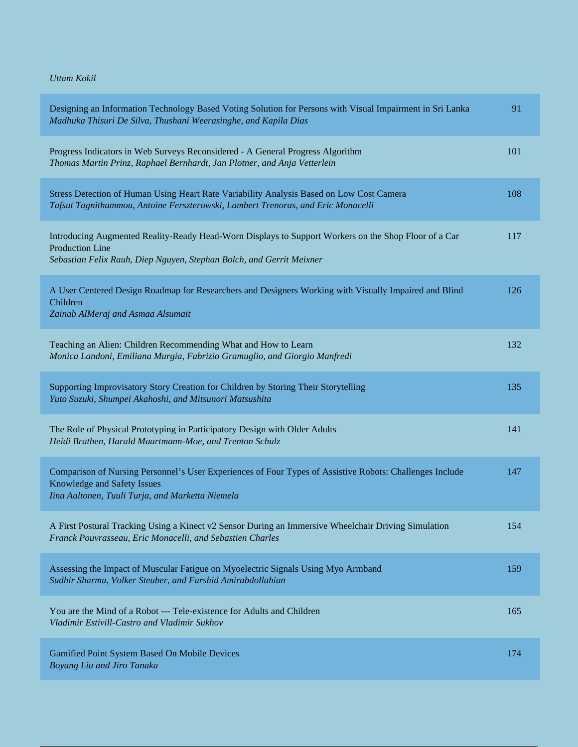*Uttam Kokil*

| Designing an Information Technology Based Voting Solution for Persons with Visual Impairment in Sri Lanka<br>Madhuka Thisuri De Silva, Thushani Weerasinghe, and Kapila Dias                           | 91  |
|--------------------------------------------------------------------------------------------------------------------------------------------------------------------------------------------------------|-----|
| Progress Indicators in Web Surveys Reconsidered - A General Progress Algorithm<br>Thomas Martin Prinz, Raphael Bernhardt, Jan Plotner, and Anja Vetterlein                                             | 101 |
| Stress Detection of Human Using Heart Rate Variability Analysis Based on Low Cost Camera<br>Tafsut Tagnithammou, Antoine Ferszterowski, Lambert Trenoras, and Eric Monacelli                           | 108 |
| Introducing Augmented Reality-Ready Head-Worn Displays to Support Workers on the Shop Floor of a Car<br><b>Production Line</b><br>Sebastian Felix Rauh, Diep Nguyen, Stephan Bolch, and Gerrit Meixner | 117 |
| A User Centered Design Roadmap for Researchers and Designers Working with Visually Impaired and Blind<br>Children<br>Zainab AlMeraj and Asmaa Alsumait                                                 | 126 |
| Teaching an Alien: Children Recommending What and How to Learn<br>Monica Landoni, Emiliana Murgia, Fabrizio Gramuglio, and Giorgio Manfredi                                                            | 132 |
| Supporting Improvisatory Story Creation for Children by Storing Their Storytelling<br>Yuto Suzuki, Shumpei Akahoshi, and Mitsunori Matsushita                                                          | 135 |
| The Role of Physical Prototyping in Participatory Design with Older Adults<br>Heidi Brathen, Harald Maartmann-Moe, and Trenton Schulz                                                                  | 141 |
| Comparison of Nursing Personnel's User Experiences of Four Types of Assistive Robots: Challenges Include<br>Knowledge and Safety Issues<br>Iina Aaltonen, Tuuli Turja, and Marketta Niemela            | 147 |
| A First Postural Tracking Using a Kinect v2 Sensor During an Immersive Wheelchair Driving Simulation<br>Franck Pouvrasseau, Eric Monacelli, and Sebastien Charles                                      | 154 |
| Assessing the Impact of Muscular Fatigue on Myoelectric Signals Using Myo Armband<br>Sudhir Sharma, Volker Steuber, and Farshid Amirabdollahian                                                        | 159 |
| You are the Mind of a Robot --- Tele-existence for Adults and Children<br>Vladimir Estivill-Castro and Vladimir Sukhov                                                                                 | 165 |
| Gamified Point System Based On Mobile Devices<br>Boyang Liu and Jiro Tanaka                                                                                                                            | 174 |